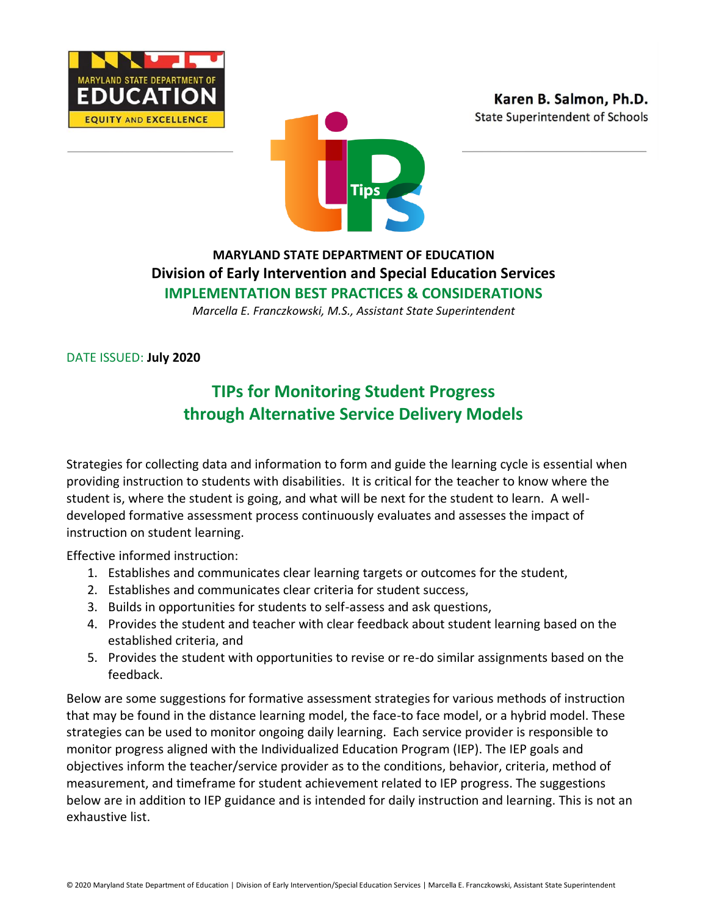





## **MARYLAND STATE DEPARTMENT OF EDUCATION Division of Early Intervention and Special Education Services IMPLEMENTATION BEST PRACTICES & CONSIDERATIONS**

*Marcella E. Franczkowski, M.S., Assistant State Superintendent*

DATE ISSUED: **July 2020**

## **TIPs for Monitoring Student Progress through Alternative Service Delivery Models**

Strategies for collecting data and information to form and guide the learning cycle is essential when providing instruction to students with disabilities. It is critical for the teacher to know where the student is, where the student is going, and what will be next for the student to learn. A welldeveloped formative assessment process continuously evaluates and assesses the impact of instruction on student learning.

Effective informed instruction:

- 1. Establishes and communicates clear learning targets or outcomes for the student,
- 2. Establishes and communicates clear criteria for student success,
- 3. Builds in opportunities for students to self-assess and ask questions,
- 4. Provides the student and teacher with clear feedback about student learning based on the established criteria, and
- 5. Provides the student with opportunities to revise or re-do similar assignments based on the feedback.

Below are some suggestions for formative assessment strategies for various methods of instruction that may be found in the distance learning model, the face-to face model, or a hybrid model. These strategies can be used to monitor ongoing daily learning. Each service provider is responsible to monitor progress aligned with the Individualized Education Program (IEP). The IEP goals and objectives inform the teacher/service provider as to the conditions, behavior, criteria, method of measurement, and timeframe for student achievement related to IEP progress. The suggestions below are in addition to IEP guidance and is intended for daily instruction and learning. This is not an exhaustive list.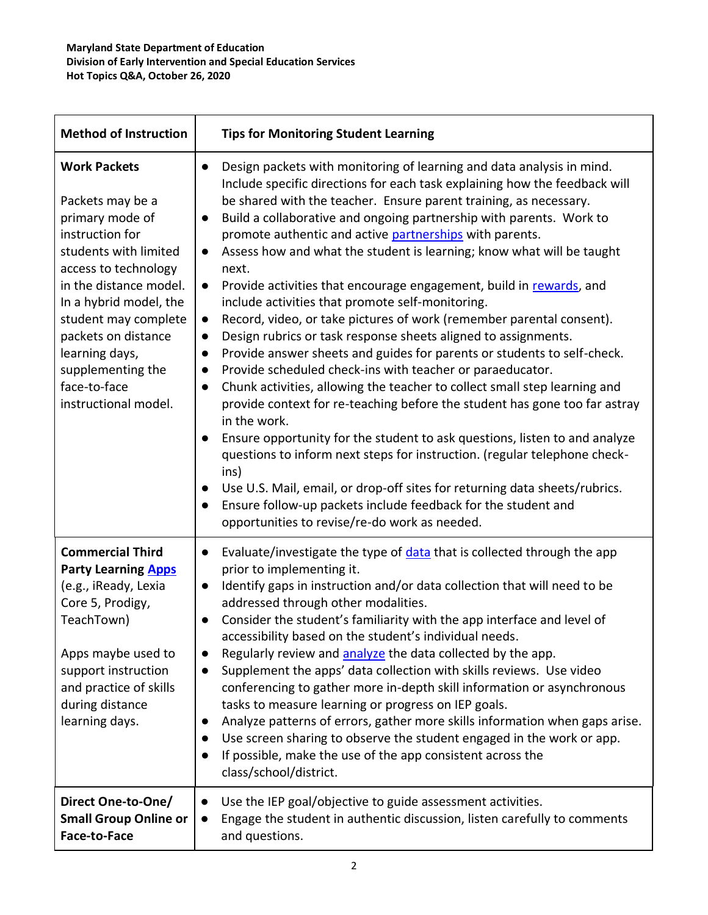| <b>Method of Instruction</b>                                                                                                                                                                                                                                                                                     | <b>Tips for Monitoring Student Learning</b>                                                                                                                                                                                                                                                                                                                                                                                                                                                                                                                                                                                                                                                                                                                                                                                                                                                                                                                                                                                                                                                                                                                                                                                                                                                                                                                                                                                                                                                                     |
|------------------------------------------------------------------------------------------------------------------------------------------------------------------------------------------------------------------------------------------------------------------------------------------------------------------|-----------------------------------------------------------------------------------------------------------------------------------------------------------------------------------------------------------------------------------------------------------------------------------------------------------------------------------------------------------------------------------------------------------------------------------------------------------------------------------------------------------------------------------------------------------------------------------------------------------------------------------------------------------------------------------------------------------------------------------------------------------------------------------------------------------------------------------------------------------------------------------------------------------------------------------------------------------------------------------------------------------------------------------------------------------------------------------------------------------------------------------------------------------------------------------------------------------------------------------------------------------------------------------------------------------------------------------------------------------------------------------------------------------------------------------------------------------------------------------------------------------------|
| <b>Work Packets</b><br>Packets may be a<br>primary mode of<br>instruction for<br>students with limited<br>access to technology<br>in the distance model.<br>In a hybrid model, the<br>student may complete<br>packets on distance<br>learning days,<br>supplementing the<br>face-to-face<br>instructional model. | Design packets with monitoring of learning and data analysis in mind.<br>$\bullet$<br>Include specific directions for each task explaining how the feedback will<br>be shared with the teacher. Ensure parent training, as necessary.<br>Build a collaborative and ongoing partnership with parents. Work to<br>$\bullet$<br>promote authentic and active partnerships with parents.<br>Assess how and what the student is learning; know what will be taught<br>$\bullet$<br>next.<br>Provide activities that encourage engagement, build in rewards, and<br>$\bullet$<br>include activities that promote self-monitoring.<br>Record, video, or take pictures of work (remember parental consent).<br>$\bullet$<br>Design rubrics or task response sheets aligned to assignments.<br>$\bullet$<br>Provide answer sheets and guides for parents or students to self-check.<br>$\bullet$<br>Provide scheduled check-ins with teacher or paraeducator.<br>$\bullet$<br>Chunk activities, allowing the teacher to collect small step learning and<br>provide context for re-teaching before the student has gone too far astray<br>in the work.<br>Ensure opportunity for the student to ask questions, listen to and analyze<br>questions to inform next steps for instruction. (regular telephone check-<br>ins)<br>Use U.S. Mail, email, or drop-off sites for returning data sheets/rubrics.<br>Ensure follow-up packets include feedback for the student and<br>opportunities to revise/re-do work as needed. |
| <b>Commercial Third</b><br><b>Party Learning Apps</b><br>(e.g., iReady, Lexia<br>Core 5, Prodigy,<br>TeachTown)<br>Apps maybe used to<br>support instruction<br>and practice of skills<br>during distance<br>learning days.                                                                                      | Evaluate/investigate the type of data that is collected through the app<br>$\bullet$<br>prior to implementing it.<br>Identify gaps in instruction and/or data collection that will need to be<br>$\bullet$<br>addressed through other modalities.<br>Consider the student's familiarity with the app interface and level of<br>$\bullet$<br>accessibility based on the student's individual needs.<br>Regularly review and analyze the data collected by the app.<br>Supplement the apps' data collection with skills reviews. Use video<br>$\bullet$<br>conferencing to gather more in-depth skill information or asynchronous<br>tasks to measure learning or progress on IEP goals.<br>Analyze patterns of errors, gather more skills information when gaps arise.<br>Use screen sharing to observe the student engaged in the work or app.<br>If possible, make the use of the app consistent across the<br>class/school/district.                                                                                                                                                                                                                                                                                                                                                                                                                                                                                                                                                                          |
| Direct One-to-One/<br><b>Small Group Online or</b><br>Face-to-Face                                                                                                                                                                                                                                               | Use the IEP goal/objective to guide assessment activities.<br>Engage the student in authentic discussion, listen carefully to comments<br>and questions.                                                                                                                                                                                                                                                                                                                                                                                                                                                                                                                                                                                                                                                                                                                                                                                                                                                                                                                                                                                                                                                                                                                                                                                                                                                                                                                                                        |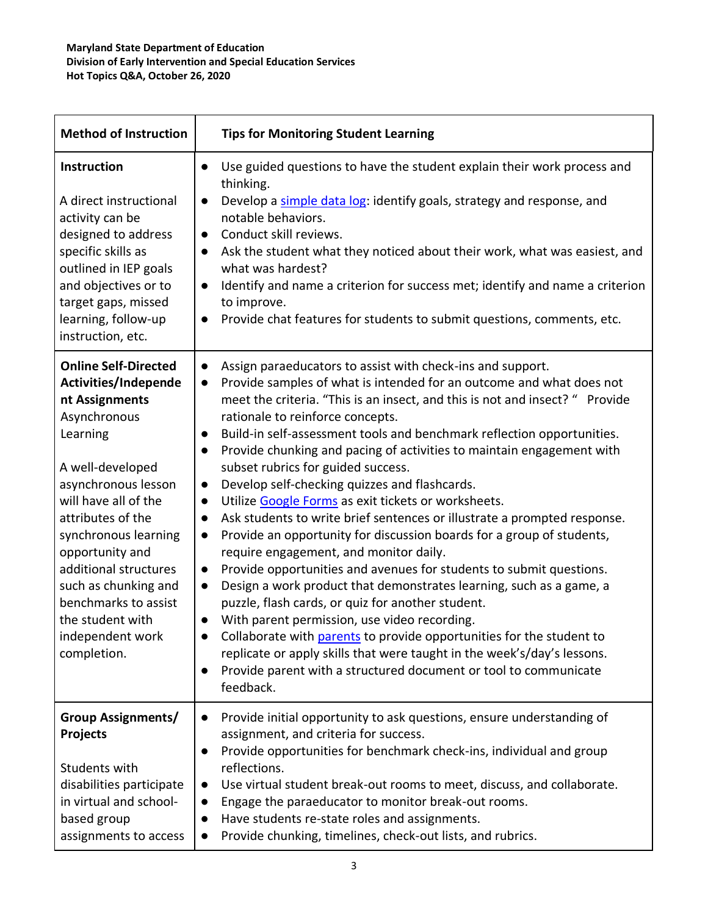| <b>Method of Instruction</b>                                                                                                                                                                                                                                                                                                                                         | <b>Tips for Monitoring Student Learning</b>                                                                                                                                                                                                                                                                                                                                                                                                                                                                                                                                                                                                                                                                                                                                                                                                                                                                                                                                                                                                                                                                                                                                                                                                                                                                                                                                     |
|----------------------------------------------------------------------------------------------------------------------------------------------------------------------------------------------------------------------------------------------------------------------------------------------------------------------------------------------------------------------|---------------------------------------------------------------------------------------------------------------------------------------------------------------------------------------------------------------------------------------------------------------------------------------------------------------------------------------------------------------------------------------------------------------------------------------------------------------------------------------------------------------------------------------------------------------------------------------------------------------------------------------------------------------------------------------------------------------------------------------------------------------------------------------------------------------------------------------------------------------------------------------------------------------------------------------------------------------------------------------------------------------------------------------------------------------------------------------------------------------------------------------------------------------------------------------------------------------------------------------------------------------------------------------------------------------------------------------------------------------------------------|
| Instruction<br>A direct instructional<br>activity can be<br>designed to address<br>specific skills as<br>outlined in IEP goals<br>and objectives or to<br>target gaps, missed<br>learning, follow-up<br>instruction, etc.                                                                                                                                            | Use guided questions to have the student explain their work process and<br>$\bullet$<br>thinking.<br>Develop a simple data log: identify goals, strategy and response, and<br>notable behaviors.<br>Conduct skill reviews.<br>$\bullet$<br>Ask the student what they noticed about their work, what was easiest, and<br>$\bullet$<br>what was hardest?<br>Identify and name a criterion for success met; identify and name a criterion<br>$\bullet$<br>to improve.<br>Provide chat features for students to submit questions, comments, etc.<br>$\bullet$                                                                                                                                                                                                                                                                                                                                                                                                                                                                                                                                                                                                                                                                                                                                                                                                                       |
| <b>Online Self-Directed</b><br>Activities/Independe<br>nt Assignments<br>Asynchronous<br>Learning<br>A well-developed<br>asynchronous lesson<br>will have all of the<br>attributes of the<br>synchronous learning<br>opportunity and<br>additional structures<br>such as chunking and<br>benchmarks to assist<br>the student with<br>independent work<br>completion. | Assign paraeducators to assist with check-ins and support.<br>$\bullet$<br>Provide samples of what is intended for an outcome and what does not<br>$\bullet$<br>meet the criteria. "This is an insect, and this is not and insect? " Provide<br>rationale to reinforce concepts.<br>Build-in self-assessment tools and benchmark reflection opportunities.<br>Provide chunking and pacing of activities to maintain engagement with<br>subset rubrics for guided success.<br>Develop self-checking quizzes and flashcards.<br>$\bullet$<br>Utilize Google Forms as exit tickets or worksheets.<br>$\bullet$<br>Ask students to write brief sentences or illustrate a prompted response.<br>$\bullet$<br>Provide an opportunity for discussion boards for a group of students,<br>$\bullet$<br>require engagement, and monitor daily.<br>Provide opportunities and avenues for students to submit questions.<br>$\bullet$<br>Design a work product that demonstrates learning, such as a game, a<br>$\bullet$<br>puzzle, flash cards, or quiz for another student.<br>With parent permission, use video recording.<br>$\bullet$<br>Collaborate with parents to provide opportunities for the student to<br>replicate or apply skills that were taught in the week's/day's lessons.<br>Provide parent with a structured document or tool to communicate<br>$\bullet$<br>feedback. |
| <b>Group Assignments/</b><br><b>Projects</b><br>Students with<br>disabilities participate<br>in virtual and school-<br>based group<br>assignments to access                                                                                                                                                                                                          | Provide initial opportunity to ask questions, ensure understanding of<br>$\bullet$<br>assignment, and criteria for success.<br>Provide opportunities for benchmark check-ins, individual and group<br>$\bullet$<br>reflections.<br>Use virtual student break-out rooms to meet, discuss, and collaborate.<br>$\bullet$<br>Engage the paraeducator to monitor break-out rooms.<br>$\bullet$<br>Have students re-state roles and assignments.<br>$\bullet$<br>Provide chunking, timelines, check-out lists, and rubrics.<br>$\bullet$                                                                                                                                                                                                                                                                                                                                                                                                                                                                                                                                                                                                                                                                                                                                                                                                                                             |